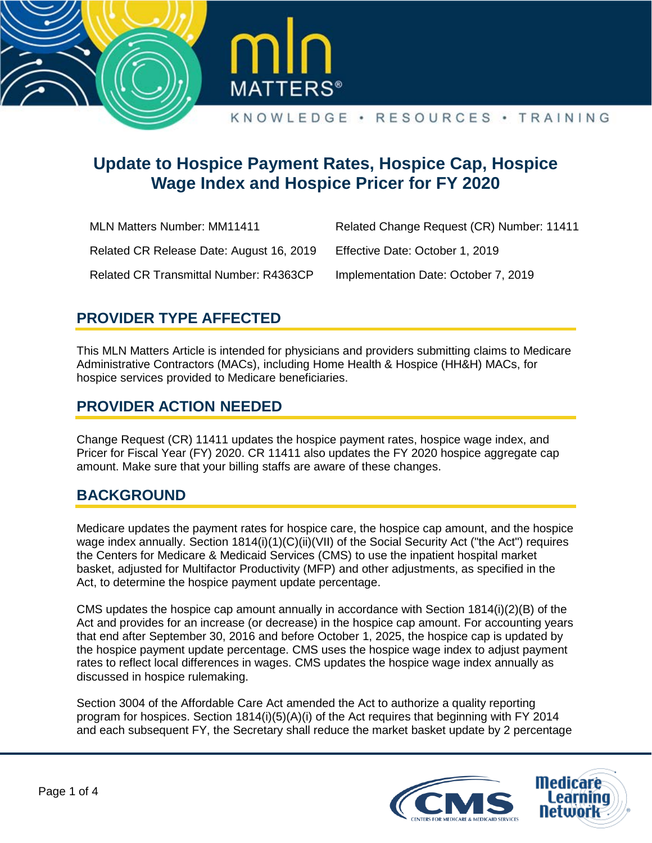



# **Update to Hospice Payment Rates, Hospice Cap, Hospice Wage Index and Hospice Pricer for FY 2020**

| <b>MLN Matters Number: MM11411</b>            | Related Change Request (CR) Number: 11411 |
|-----------------------------------------------|-------------------------------------------|
| Related CR Release Date: August 16, 2019      | Effective Date: October 1, 2019           |
| <b>Related CR Transmittal Number: R4363CP</b> | Implementation Date: October 7, 2019      |

## **PROVIDER TYPE AFFECTED**

This MLN Matters Article is intended for physicians and providers submitting claims to Medicare Administrative Contractors (MACs), including Home Health & Hospice (HH&H) MACs, for hospice services provided to Medicare beneficiaries.

### **PROVIDER ACTION NEEDED**

Change Request (CR) 11411 updates the hospice payment rates, hospice wage index, and Pricer for Fiscal Year (FY) 2020. CR 11411 also updates the FY 2020 hospice aggregate cap amount. Make sure that your billing staffs are aware of these changes.

## **BACKGROUND**

Medicare updates the payment rates for hospice care, the hospice cap amount, and the hospice wage index annually. Section  $1814(i)(1)(C)(ii)(VII)$  of the Social Security Act ("the Act") requires the Centers for Medicare & Medicaid Services (CMS) to use the inpatient hospital market basket, adjusted for Multifactor Productivity (MFP) and other adjustments, as specified in the Act, to determine the hospice payment update percentage.

CMS updates the hospice cap amount annually in accordance with Section 1814(i)(2)(B) of the Act and provides for an increase (or decrease) in the hospice cap amount. For accounting years that end after September 30, 2016 and before October 1, 2025, the hospice cap is updated by the hospice payment update percentage. CMS uses the hospice wage index to adjust payment rates to reflect local differences in wages. CMS updates the hospice wage index annually as discussed in hospice rulemaking.

Section 3004 of the Affordable Care Act amended the Act to authorize a quality reporting program for hospices. Section 1814(i)(5)(A)(i) of the Act requires that beginning with FY 2014 and each subsequent FY, the Secretary shall reduce the market basket update by 2 percentage

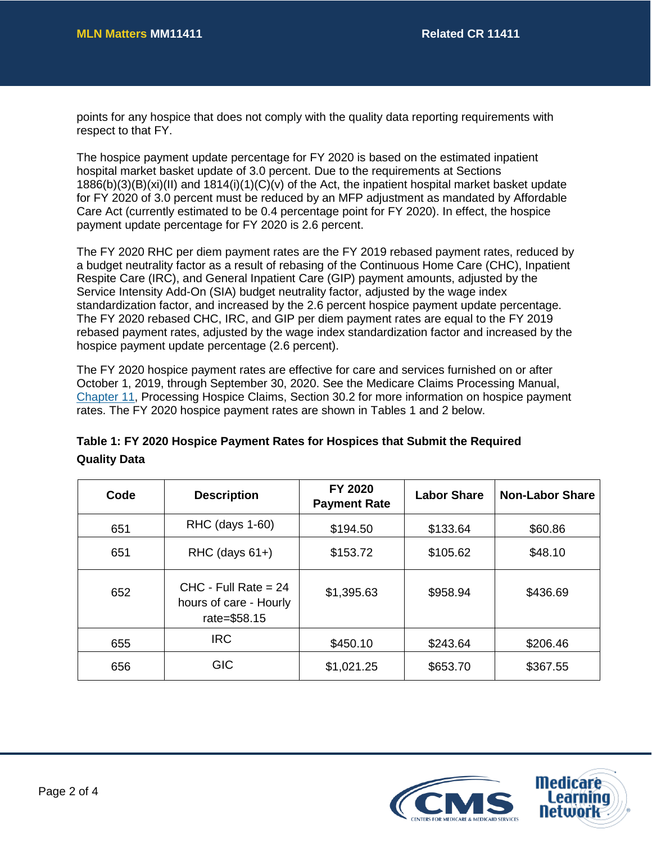points for any hospice that does not comply with the quality data reporting requirements with respect to that FY.

The hospice payment update percentage for FY 2020 is based on the estimated inpatient hospital market basket update of 3.0 percent. Due to the requirements at Sections 1886(b)(3)(B)(xi)(II) and 1814(i)(1)(C)(v) of the Act, the inpatient hospital market basket update for FY 2020 of 3.0 percent must be reduced by an MFP adjustment as mandated by Affordable Care Act (currently estimated to be 0.4 percentage point for FY 2020). In effect, the hospice payment update percentage for FY 2020 is 2.6 percent.

The FY 2020 RHC per diem payment rates are the FY 2019 rebased payment rates, reduced by a budget neutrality factor as a result of rebasing of the Continuous Home Care (CHC), Inpatient Respite Care (IRC), and General Inpatient Care (GIP) payment amounts, adjusted by the Service Intensity Add-On (SIA) budget neutrality factor, adjusted by the wage index standardization factor, and increased by the 2.6 percent hospice payment update percentage. The FY 2020 rebased CHC, IRC, and GIP per diem payment rates are equal to the FY 2019 rebased payment rates, adjusted by the wage index standardization factor and increased by the hospice payment update percentage (2.6 percent).

The FY 2020 hospice payment rates are effective for care and services furnished on or after October 1, 2019, through September 30, 2020. See the Medicare Claims Processing Manual, [Chapter 11,](https://www.cms.gov/Regulations-and-Guidance/Guidance/Manuals/Downloads/clm104c11.pdf) Processing Hospice Claims, Section 30.2 for more information on hospice payment rates. The FY 2020 hospice payment rates are shown in Tables 1 and 2 below.

| Code | <b>Description</b>                                               | FY 2020<br><b>Payment Rate</b> | <b>Labor Share</b> | <b>Non-Labor Share</b> |
|------|------------------------------------------------------------------|--------------------------------|--------------------|------------------------|
| 651  | RHC (days 1-60)                                                  | \$194.50                       | \$133.64           | \$60.86                |
| 651  | $RHC$ (days $61+)$                                               | \$153.72                       | \$105.62           | \$48.10                |
| 652  | $CHC - Full Rate = 24$<br>hours of care - Hourly<br>rate=\$58.15 | \$1,395.63                     | \$958.94           | \$436.69               |
| 655  | <b>IRC</b>                                                       | \$450.10                       | \$243.64           | \$206.46               |
| 656  | <b>GIC</b>                                                       | \$1,021.25                     | \$653.70           | \$367.55               |

### **Table 1: FY 2020 Hospice Payment Rates for Hospices that Submit the Required Quality Data**

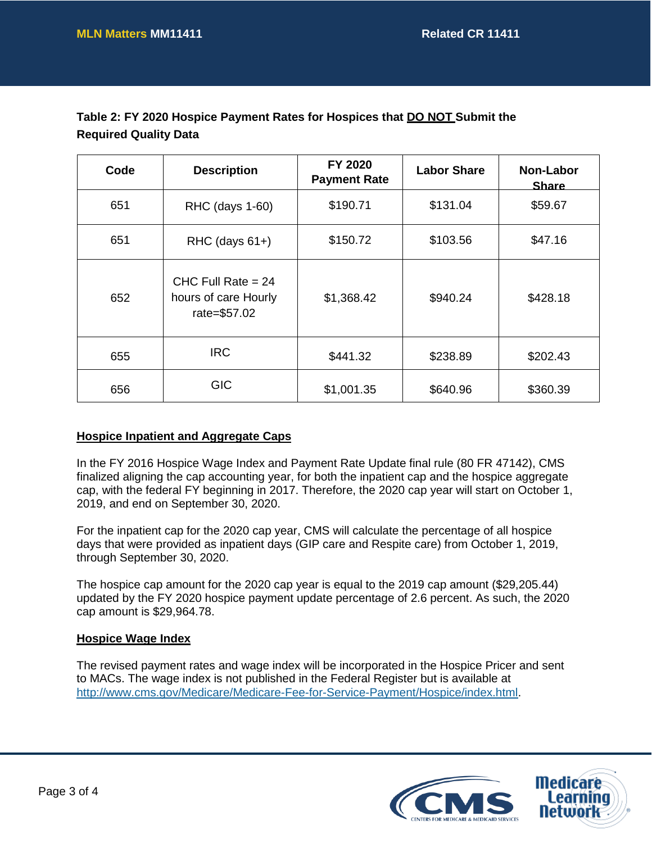| Table 2: FY 2020 Hospice Payment Rates for Hospices that <b>DO NOT</b> Submit the |  |
|-----------------------------------------------------------------------------------|--|
| <b>Required Quality Data</b>                                                      |  |

| Code | <b>Description</b>                                           | FY 2020<br><b>Payment Rate</b> | <b>Labor Share</b> | Non-Labor<br><b>Share</b> |
|------|--------------------------------------------------------------|--------------------------------|--------------------|---------------------------|
| 651  | RHC (days 1-60)                                              | \$190.71                       | \$131.04           | \$59.67                   |
| 651  | $RHC$ (days $61+)$                                           | \$150.72                       | \$103.56           | \$47.16                   |
| 652  | CHC Full Rate $= 24$<br>hours of care Hourly<br>rate=\$57.02 | \$1,368.42                     | \$940.24           | \$428.18                  |
| 655  | <b>IRC</b>                                                   | \$441.32                       | \$238.89           | \$202.43                  |
| 656  | <b>GIC</b>                                                   | \$1,001.35                     | \$640.96           | \$360.39                  |

#### **Hospice Inpatient and Aggregate Caps**

In the FY 2016 Hospice Wage Index and Payment Rate Update final rule (80 FR 47142), CMS finalized aligning the cap accounting year, for both the inpatient cap and the hospice aggregate cap, with the federal FY beginning in 2017. Therefore, the 2020 cap year will start on October 1, 2019, and end on September 30, 2020.

For the inpatient cap for the 2020 cap year, CMS will calculate the percentage of all hospice days that were provided as inpatient days (GIP care and Respite care) from October 1, 2019, through September 30, 2020.

The hospice cap amount for the 2020 cap year is equal to the 2019 cap amount (\$29,205.44) updated by the FY 2020 hospice payment update percentage of 2.6 percent. As such, the 2020 cap amount is \$29,964.78.

#### **Hospice Wage Index**

The revised payment rates and wage index will be incorporated in the Hospice Pricer and sent to MACs. The wage index is not published in the Federal Register but is available at [http://www.cms.gov/Medicare/Medicare-Fee-for-Service-Payment/Hospice/index.html.](http://www.cms.gov/Medicare/Medicare-Fee-for-Service-Payment/Hospice/index.html)